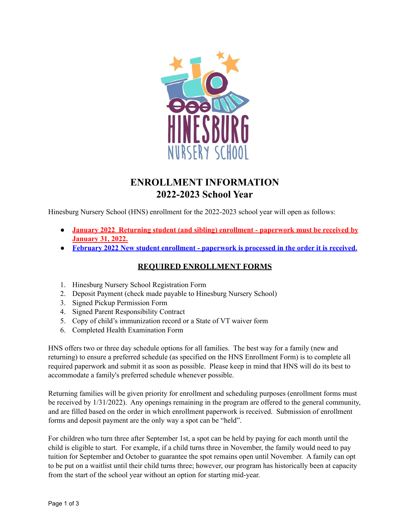

# **ENROLLMENT INFORMATION 2022-2023 School Year**

Hinesburg Nursery School (HNS) enrollment for the 2022-2023 school year will open as follows:

- **January 2022 Returning student (and sibling) enrollment - paperwork must be received by January 31, 2022.**
- **● February 2022 New student enrollment - paperwork is processed in the order it is received.**

#### **REQUIRED ENROLLMENT FORMS**

- 1. Hinesburg Nursery School Registration Form
- 2. Deposit Payment (check made payable to Hinesburg Nursery School)
- 3. Signed Pickup Permission Form
- 4. Signed Parent Responsibility Contract
- 5. Copy of child's immunization record or a State of VT waiver form
- 6. Completed Health Examination Form

HNS offers two or three day schedule options for all families. The best way for a family (new and returning) to ensure a preferred schedule (as specified on the HNS Enrollment Form) is to complete all required paperwork and submit it as soon as possible. Please keep in mind that HNS will do its best to accommodate a family's preferred schedule whenever possible.

Returning families will be given priority for enrollment and scheduling purposes (enrollment forms must be received by 1/31/2022). Any openings remaining in the program are offered to the general community, and are filled based on the order in which enrollment paperwork is received. Submission of enrollment forms and deposit payment are the only way a spot can be "held".

For children who turn three after September 1st, a spot can be held by paying for each month until the child is eligible to start. For example, if a child turns three in November, the family would need to pay tuition for September and October to guarantee the spot remains open until November. A family can opt to be put on a waitlist until their child turns three; however, our program has historically been at capacity from the start of the school year without an option for starting mid-year.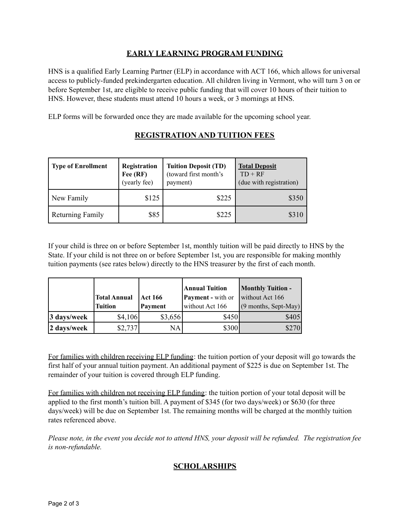#### **EARLY LEARNING PROGRAM FUNDING**

HNS is a qualified Early Learning Partner (ELP) in accordance with ACT 166, which allows for universal access to publicly-funded prekindergarten education. All children living in Vermont, who will turn 3 on or before September 1st, are eligible to receive public funding that will cover 10 hours of their tuition to HNS. However, these students must attend 10 hours a week, or 3 mornings at HNS.

ELP forms will be forwarded once they are made available for the upcoming school year.

| <b>Type of Enrollment</b> | Registration<br>Fee $(RF)$<br>(yearly fee) | <b>Tuition Deposit (TD)</b><br>(toward first month's<br>payment) | <b>Total Deposit</b><br>$TD + RF$<br>(due with registration) |
|---------------------------|--------------------------------------------|------------------------------------------------------------------|--------------------------------------------------------------|
| New Family                | \$125                                      | \$225                                                            | \$350                                                        |
| <b>Returning Family</b>   | \$85                                       | \$225                                                            | \$310                                                        |

## **REGISTRATION AND TUITION FEES**

If your child is three on or before September 1st, monthly tuition will be paid directly to HNS by the State. If your child is not three on or before September 1st, you are responsible for making monthly tuition payments (see rates below) directly to the HNS treasurer by the first of each month.

|             |                     |                | Annual Tuition           | <b>Monthly Tuition -</b> |
|-------------|---------------------|----------------|--------------------------|--------------------------|
|             | <b>Total Annual</b> | <b>Act 166</b> | <b>Payment</b> - with or | without Act 166          |
|             | <b>Tuition</b>      | Payment        | without Act 166          | $(9$ months, Sept-May)   |
| 3 days/week | \$4,106             | \$3,656        | \$450                    | \$405                    |
| 2 days/week | \$2,737             | NA             | \$300                    | \$270                    |

For families with children receiving ELP funding: the tuition portion of your deposit will go towards the first half of your annual tuition payment. An additional payment of \$225 is due on September 1st. The remainder of your tuition is covered through ELP funding.

For families with children not receiving ELP funding: the tuition portion of your total deposit will be applied to the first month's tuition bill. A payment of \$345 (for two days/week) or \$630 (for three days/week) will be due on September 1st. The remaining months will be charged at the monthly tuition rates referenced above.

Please note, in the event you decide not to attend HNS, your deposit will be refunded. The registration fee *is non-refundable.*

### **SCHOLARSHIPS**